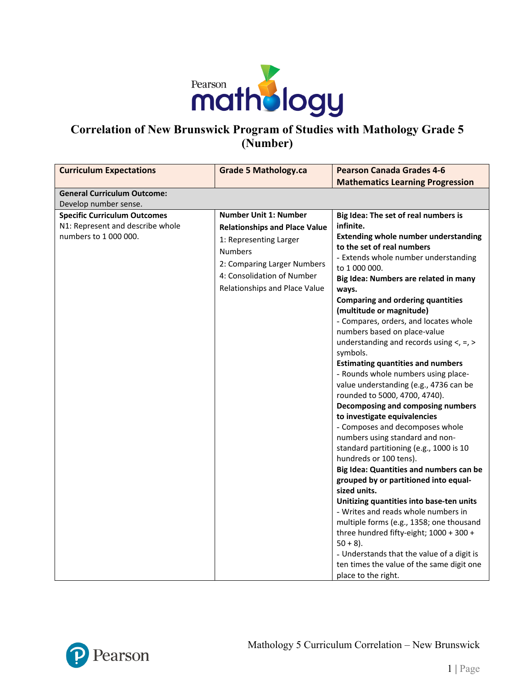

# **Correlation of New Brunswick Program of Studies with Mathology Grade 5 (Number)**

| <b>Curriculum Expectations</b>                                                                   | <b>Grade 5 Mathology.ca</b>                                                                                                                                                                                    | <b>Pearson Canada Grades 4-6</b>                                                                                                                                                                                                                                                                                                                                                                                                                                                                                                                                                                                                                                                                                                                                                                                                                                                                                                                                                                                                                                                                                                                                                                                                                    |
|--------------------------------------------------------------------------------------------------|----------------------------------------------------------------------------------------------------------------------------------------------------------------------------------------------------------------|-----------------------------------------------------------------------------------------------------------------------------------------------------------------------------------------------------------------------------------------------------------------------------------------------------------------------------------------------------------------------------------------------------------------------------------------------------------------------------------------------------------------------------------------------------------------------------------------------------------------------------------------------------------------------------------------------------------------------------------------------------------------------------------------------------------------------------------------------------------------------------------------------------------------------------------------------------------------------------------------------------------------------------------------------------------------------------------------------------------------------------------------------------------------------------------------------------------------------------------------------------|
|                                                                                                  |                                                                                                                                                                                                                | <b>Mathematics Learning Progression</b>                                                                                                                                                                                                                                                                                                                                                                                                                                                                                                                                                                                                                                                                                                                                                                                                                                                                                                                                                                                                                                                                                                                                                                                                             |
| <b>General Curriculum Outcome:</b>                                                               |                                                                                                                                                                                                                |                                                                                                                                                                                                                                                                                                                                                                                                                                                                                                                                                                                                                                                                                                                                                                                                                                                                                                                                                                                                                                                                                                                                                                                                                                                     |
| Develop number sense.                                                                            |                                                                                                                                                                                                                |                                                                                                                                                                                                                                                                                                                                                                                                                                                                                                                                                                                                                                                                                                                                                                                                                                                                                                                                                                                                                                                                                                                                                                                                                                                     |
| <b>Specific Curriculum Outcomes</b><br>N1: Represent and describe whole<br>numbers to 1 000 000. | <b>Number Unit 1: Number</b><br><b>Relationships and Place Value</b><br>1: Representing Larger<br><b>Numbers</b><br>2: Comparing Larger Numbers<br>4: Consolidation of Number<br>Relationships and Place Value | Big Idea: The set of real numbers is<br>infinite.<br><b>Extending whole number understanding</b><br>to the set of real numbers<br>- Extends whole number understanding<br>to 1 000 000.<br>Big Idea: Numbers are related in many<br>ways.<br><b>Comparing and ordering quantities</b><br>(multitude or magnitude)<br>- Compares, orders, and locates whole<br>numbers based on place-value<br>understanding and records using $\lt$ , =, ><br>symbols.<br><b>Estimating quantities and numbers</b><br>- Rounds whole numbers using place-<br>value understanding (e.g., 4736 can be<br>rounded to 5000, 4700, 4740).<br>Decomposing and composing numbers<br>to investigate equivalencies<br>- Composes and decomposes whole<br>numbers using standard and non-<br>standard partitioning (e.g., 1000 is 10<br>hundreds or 100 tens).<br>Big Idea: Quantities and numbers can be<br>grouped by or partitioned into equal-<br>sized units.<br>Unitizing quantities into base-ten units<br>- Writes and reads whole numbers in<br>multiple forms (e.g., 1358; one thousand<br>three hundred fifty-eight; 1000 + 300 +<br>$50 + 8$ ).<br>- Understands that the value of a digit is<br>ten times the value of the same digit one<br>place to the right. |

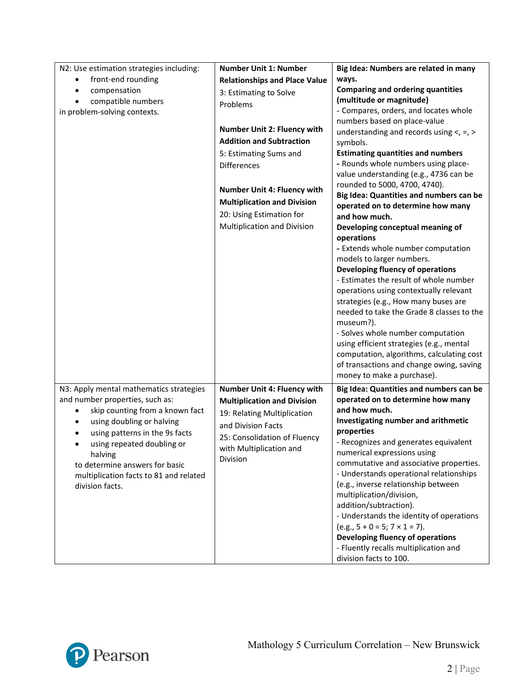| N2: Use estimation strategies including:    | <b>Number Unit 1: Number</b>         | Big Idea: Numbers are related in many                                              |
|---------------------------------------------|--------------------------------------|------------------------------------------------------------------------------------|
| front-end rounding<br>٠                     | <b>Relationships and Place Value</b> | ways.                                                                              |
| compensation<br>$\bullet$                   | 3: Estimating to Solve               | <b>Comparing and ordering quantities</b>                                           |
| compatible numbers<br>$\bullet$             | Problems                             | (multitude or magnitude)                                                           |
| in problem-solving contexts.                |                                      | - Compares, orders, and locates whole                                              |
|                                             |                                      | numbers based on place-value                                                       |
|                                             | <b>Number Unit 2: Fluency with</b>   | understanding and records using $\lt$ , =, >                                       |
|                                             | <b>Addition and Subtraction</b>      | symbols.                                                                           |
|                                             | 5: Estimating Sums and               | <b>Estimating quantities and numbers</b>                                           |
|                                             | <b>Differences</b>                   | - Rounds whole numbers using place-                                                |
|                                             |                                      | value understanding (e.g., 4736 can be                                             |
|                                             | <b>Number Unit 4: Fluency with</b>   | rounded to 5000, 4700, 4740).                                                      |
|                                             | <b>Multiplication and Division</b>   | Big Idea: Quantities and numbers can be                                            |
|                                             | 20: Using Estimation for             | operated on to determine how many<br>and how much.                                 |
|                                             | Multiplication and Division          | Developing conceptual meaning of                                                   |
|                                             |                                      | operations                                                                         |
|                                             |                                      | - Extends whole number computation                                                 |
|                                             |                                      | models to larger numbers.                                                          |
|                                             |                                      | Developing fluency of operations                                                   |
|                                             |                                      | - Estimates the result of whole number                                             |
|                                             |                                      | operations using contextually relevant                                             |
|                                             |                                      | strategies (e.g., How many buses are                                               |
|                                             |                                      | needed to take the Grade 8 classes to the                                          |
|                                             |                                      | museum?).                                                                          |
|                                             |                                      | - Solves whole number computation                                                  |
|                                             |                                      | using efficient strategies (e.g., mental                                           |
|                                             |                                      | computation, algorithms, calculating cost                                          |
|                                             |                                      | of transactions and change owing, saving                                           |
|                                             |                                      | money to make a purchase).                                                         |
| N3: Apply mental mathematics strategies     | Number Unit 4: Fluency with          | Big Idea: Quantities and numbers can be                                            |
| and number properties, such as:             | <b>Multiplication and Division</b>   | operated on to determine how many                                                  |
| skip counting from a known fact             | 19: Relating Multiplication          | and how much.                                                                      |
| using doubling or halving<br>$\bullet$      | and Division Facts                   | Investigating number and arithmetic                                                |
| using patterns in the 9s facts<br>$\bullet$ | 25: Consolidation of Fluency         | properties                                                                         |
| using repeated doubling or                  | with Multiplication and              | - Recognizes and generates equivalent                                              |
| halving                                     | Division                             | numerical expressions using                                                        |
| to determine answers for basic              |                                      | commutative and associative properties.<br>- Understands operational relationships |
| multiplication facts to 81 and related      |                                      | (e.g., inverse relationship between                                                |
| division facts.                             |                                      | multiplication/division,                                                           |
|                                             |                                      | addition/subtraction).                                                             |
|                                             |                                      | - Understands the identity of operations                                           |
|                                             |                                      | $(e.g., 5 + 0 = 5; 7 \times 1 = 7).$                                               |
|                                             |                                      | Developing fluency of operations                                                   |
|                                             |                                      |                                                                                    |
|                                             |                                      | - Fluently recalls multiplication and                                              |

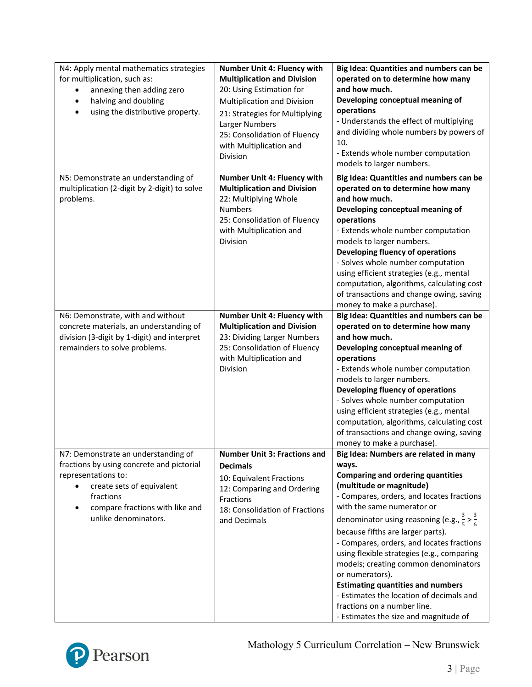| N4: Apply mental mathematics strategies<br>for multiplication, such as:<br>annexing then adding zero<br>halving and doubling<br>$\bullet$<br>using the distributive property.<br>$\bullet$                                | <b>Number Unit 4: Fluency with</b><br><b>Multiplication and Division</b><br>20: Using Estimation for<br>Multiplication and Division<br>21: Strategies for Multiplying<br>Larger Numbers<br>25: Consolidation of Fluency<br>with Multiplication and<br><b>Division</b> | Big Idea: Quantities and numbers can be<br>operated on to determine how many<br>and how much.<br>Developing conceptual meaning of<br>operations<br>- Understands the effect of multiplying<br>and dividing whole numbers by powers of<br>10.<br>- Extends whole number computation<br>models to larger numbers.                                                                                                                                                                                                                                                                                                                  |
|---------------------------------------------------------------------------------------------------------------------------------------------------------------------------------------------------------------------------|-----------------------------------------------------------------------------------------------------------------------------------------------------------------------------------------------------------------------------------------------------------------------|----------------------------------------------------------------------------------------------------------------------------------------------------------------------------------------------------------------------------------------------------------------------------------------------------------------------------------------------------------------------------------------------------------------------------------------------------------------------------------------------------------------------------------------------------------------------------------------------------------------------------------|
| N5: Demonstrate an understanding of<br>multiplication (2-digit by 2-digit) to solve<br>problems.                                                                                                                          | Number Unit 4: Fluency with<br><b>Multiplication and Division</b><br>22: Multiplying Whole<br><b>Numbers</b><br>25: Consolidation of Fluency<br>with Multiplication and<br>Division                                                                                   | Big Idea: Quantities and numbers can be<br>operated on to determine how many<br>and how much.<br>Developing conceptual meaning of<br>operations<br>- Extends whole number computation<br>models to larger numbers.<br>Developing fluency of operations<br>- Solves whole number computation<br>using efficient strategies (e.g., mental<br>computation, algorithms, calculating cost<br>of transactions and change owing, saving<br>money to make a purchase).                                                                                                                                                                   |
| N6: Demonstrate, with and without<br>concrete materials, an understanding of<br>division (3-digit by 1-digit) and interpret<br>remainders to solve problems.                                                              | Number Unit 4: Fluency with<br><b>Multiplication and Division</b><br>23: Dividing Larger Numbers<br>25: Consolidation of Fluency<br>with Multiplication and<br>Division                                                                                               | Big Idea: Quantities and numbers can be<br>operated on to determine how many<br>and how much.<br>Developing conceptual meaning of<br>operations<br>- Extends whole number computation<br>models to larger numbers.<br>Developing fluency of operations<br>- Solves whole number computation<br>using efficient strategies (e.g., mental<br>computation, algorithms, calculating cost<br>of transactions and change owing, saving<br>money to make a purchase).                                                                                                                                                                   |
| N7: Demonstrate an understanding of<br>fractions by using concrete and pictorial<br>representations to:<br>create sets of equivalent<br>$\bullet$<br>fractions<br>compare fractions with like and<br>unlike denominators. | <b>Number Unit 3: Fractions and</b><br><b>Decimals</b><br>10: Equivalent Fractions<br>12: Comparing and Ordering<br>Fractions<br>18: Consolidation of Fractions<br>and Decimals                                                                                       | Big Idea: Numbers are related in many<br>ways.<br><b>Comparing and ordering quantities</b><br>(multitude or magnitude)<br>- Compares, orders, and locates fractions<br>with the same numerator or<br>denominator using reasoning (e.g., $\frac{3}{5}$ > $\frac{3}{6}$<br>because fifths are larger parts).<br>- Compares, orders, and locates fractions<br>using flexible strategies (e.g., comparing<br>models; creating common denominators<br>or numerators).<br><b>Estimating quantities and numbers</b><br>- Estimates the location of decimals and<br>fractions on a number line.<br>- Estimates the size and magnitude of |

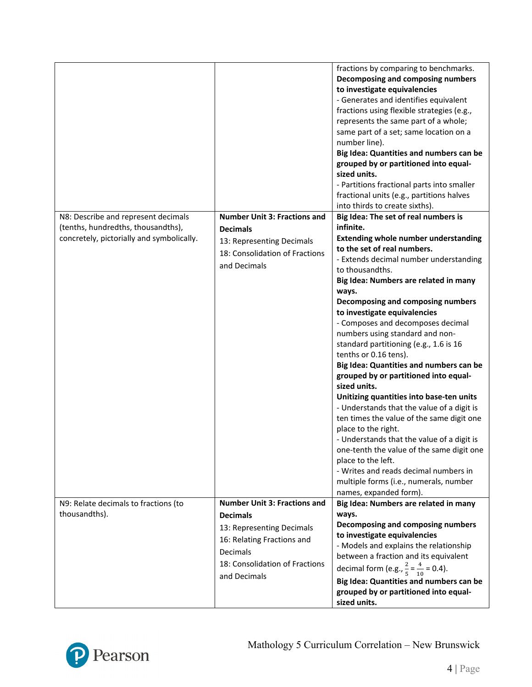|                                                                                 |                                                                                                                   | fractions by comparing to benchmarks.<br>Decomposing and composing numbers<br>to investigate equivalencies<br>- Generates and identifies equivalent<br>fractions using flexible strategies (e.g.,<br>represents the same part of a whole;<br>same part of a set; same location on a<br>number line).<br>Big Idea: Quantities and numbers can be<br>grouped by or partitioned into equal-<br>sized units.<br>- Partitions fractional parts into smaller<br>fractional units (e.g., partitions halves<br>into thirds to create sixths).                                                                                                                                                                                                                                                                                                                                                                     |
|---------------------------------------------------------------------------------|-------------------------------------------------------------------------------------------------------------------|-----------------------------------------------------------------------------------------------------------------------------------------------------------------------------------------------------------------------------------------------------------------------------------------------------------------------------------------------------------------------------------------------------------------------------------------------------------------------------------------------------------------------------------------------------------------------------------------------------------------------------------------------------------------------------------------------------------------------------------------------------------------------------------------------------------------------------------------------------------------------------------------------------------|
| N8: Describe and represent decimals                                             | <b>Number Unit 3: Fractions and</b>                                                                               | Big Idea: The set of real numbers is<br>infinite.                                                                                                                                                                                                                                                                                                                                                                                                                                                                                                                                                                                                                                                                                                                                                                                                                                                         |
| (tenths, hundredths, thousandths),<br>concretely, pictorially and symbolically. | <b>Decimals</b><br>13: Representing Decimals<br>18: Consolidation of Fractions<br>and Decimals                    | <b>Extending whole number understanding</b><br>to the set of real numbers.<br>- Extends decimal number understanding<br>to thousandths.<br>Big Idea: Numbers are related in many<br>ways.<br>Decomposing and composing numbers<br>to investigate equivalencies<br>- Composes and decomposes decimal<br>numbers using standard and non-<br>standard partitioning (e.g., 1.6 is 16<br>tenths or 0.16 tens).<br>Big Idea: Quantities and numbers can be<br>grouped by or partitioned into equal-<br>sized units.<br>Unitizing quantities into base-ten units<br>- Understands that the value of a digit is<br>ten times the value of the same digit one<br>place to the right.<br>- Understands that the value of a digit is<br>one-tenth the value of the same digit one<br>place to the left.<br>- Writes and reads decimal numbers in<br>multiple forms (i.e., numerals, number<br>names, expanded form). |
| N9: Relate decimals to fractions (to<br>thousandths).                           | <b>Number Unit 3: Fractions and</b><br><b>Decimals</b><br>13: Representing Decimals<br>16: Relating Fractions and | Big Idea: Numbers are related in many<br>ways.<br>Decomposing and composing numbers<br>to investigate equivalencies<br>- Models and explains the relationship                                                                                                                                                                                                                                                                                                                                                                                                                                                                                                                                                                                                                                                                                                                                             |
|                                                                                 | Decimals<br>18: Consolidation of Fractions<br>and Decimals                                                        | between a fraction and its equivalent<br>decimal form (e.g., $\frac{2}{5} = \frac{4}{10} = 0.4$ ).<br>Big Idea: Quantities and numbers can be<br>grouped by or partitioned into equal-<br>sized units.                                                                                                                                                                                                                                                                                                                                                                                                                                                                                                                                                                                                                                                                                                    |

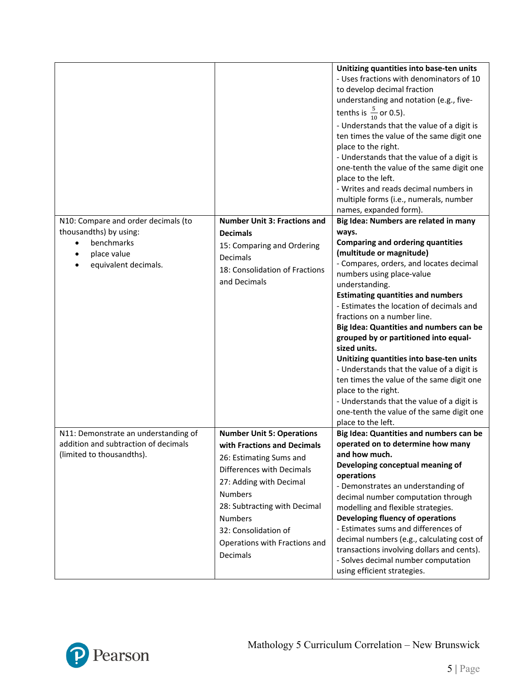|                                                                                                           |                                                                                                                                                                                                                                                                                             | Unitizing quantities into base-ten units<br>- Uses fractions with denominators of 10<br>to develop decimal fraction<br>understanding and notation (e.g., five-<br>tenths is $\frac{5}{10}$ or 0.5).<br>- Understands that the value of a digit is<br>ten times the value of the same digit one<br>place to the right.<br>- Understands that the value of a digit is<br>one-tenth the value of the same digit one<br>place to the left.<br>- Writes and reads decimal numbers in<br>multiple forms (i.e., numerals, number<br>names, expanded form).                                                                          |
|-----------------------------------------------------------------------------------------------------------|---------------------------------------------------------------------------------------------------------------------------------------------------------------------------------------------------------------------------------------------------------------------------------------------|------------------------------------------------------------------------------------------------------------------------------------------------------------------------------------------------------------------------------------------------------------------------------------------------------------------------------------------------------------------------------------------------------------------------------------------------------------------------------------------------------------------------------------------------------------------------------------------------------------------------------|
| N10: Compare and order decimals (to<br>thousandths) by using:<br>benchmarks<br>٠                          | <b>Number Unit 3: Fractions and</b><br><b>Decimals</b><br>15: Comparing and Ordering                                                                                                                                                                                                        | Big Idea: Numbers are related in many<br>ways.<br><b>Comparing and ordering quantities</b>                                                                                                                                                                                                                                                                                                                                                                                                                                                                                                                                   |
| place value<br>equivalent decimals.                                                                       | Decimals<br>18: Consolidation of Fractions<br>and Decimals                                                                                                                                                                                                                                  | (multitude or magnitude)<br>- Compares, orders, and locates decimal<br>numbers using place-value<br>understanding.<br><b>Estimating quantities and numbers</b><br>- Estimates the location of decimals and<br>fractions on a number line.<br>Big Idea: Quantities and numbers can be<br>grouped by or partitioned into equal-<br>sized units.<br>Unitizing quantities into base-ten units<br>- Understands that the value of a digit is<br>ten times the value of the same digit one<br>place to the right.<br>- Understands that the value of a digit is<br>one-tenth the value of the same digit one<br>place to the left. |
| N11: Demonstrate an understanding of<br>addition and subtraction of decimals<br>(limited to thousandths). | <b>Number Unit 5: Operations</b><br>with Fractions and Decimals<br>26: Estimating Sums and<br>Differences with Decimals<br>27: Adding with Decimal<br><b>Numbers</b><br>28: Subtracting with Decimal<br><b>Numbers</b><br>32: Consolidation of<br>Operations with Fractions and<br>Decimals | Big Idea: Quantities and numbers can be<br>operated on to determine how many<br>and how much.<br>Developing conceptual meaning of<br>operations<br>- Demonstrates an understanding of<br>decimal number computation through<br>modelling and flexible strategies.<br>Developing fluency of operations<br>- Estimates sums and differences of<br>decimal numbers (e.g., calculating cost of<br>transactions involving dollars and cents).<br>- Solves decimal number computation<br>using efficient strategies.                                                                                                               |

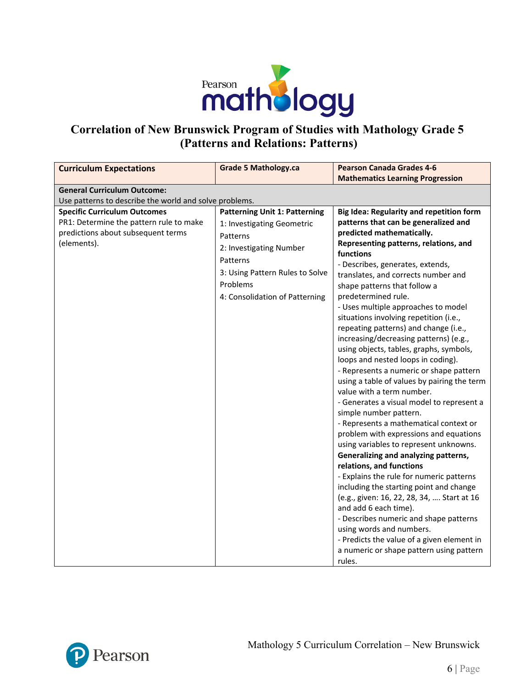

## **Correlation of New Brunswick Program of Studies with Mathology Grade 5 (Patterns and Relations: Patterns)**

| <b>Curriculum Expectations</b>                         | <b>Grade 5 Mathology.ca</b>          | <b>Pearson Canada Grades 4-6</b>                                 |
|--------------------------------------------------------|--------------------------------------|------------------------------------------------------------------|
|                                                        |                                      | <b>Mathematics Learning Progression</b>                          |
| <b>General Curriculum Outcome:</b>                     |                                      |                                                                  |
| Use patterns to describe the world and solve problems. |                                      |                                                                  |
| <b>Specific Curriculum Outcomes</b>                    | <b>Patterning Unit 1: Patterning</b> | <b>Big Idea: Regularity and repetition form</b>                  |
| PR1: Determine the pattern rule to make                | 1: Investigating Geometric           | patterns that can be generalized and                             |
| predictions about subsequent terms                     | Patterns                             | predicted mathematically.                                        |
| (elements).                                            | 2: Investigating Number              | Representing patterns, relations, and<br><b>functions</b>        |
|                                                        | Patterns                             | - Describes, generates, extends,                                 |
|                                                        | 3: Using Pattern Rules to Solve      | translates, and corrects number and                              |
|                                                        | Problems                             | shape patterns that follow a                                     |
|                                                        | 4: Consolidation of Patterning       | predetermined rule.                                              |
|                                                        |                                      | - Uses multiple approaches to model                              |
|                                                        |                                      | situations involving repetition (i.e.,                           |
|                                                        |                                      | repeating patterns) and change (i.e.,                            |
|                                                        |                                      | increasing/decreasing patterns) (e.g.,                           |
|                                                        |                                      | using objects, tables, graphs, symbols,                          |
|                                                        |                                      | loops and nested loops in coding).                               |
|                                                        |                                      | - Represents a numeric or shape pattern                          |
|                                                        |                                      | using a table of values by pairing the term                      |
|                                                        |                                      | value with a term number.                                        |
|                                                        |                                      | - Generates a visual model to represent a                        |
|                                                        |                                      | simple number pattern.<br>- Represents a mathematical context or |
|                                                        |                                      | problem with expressions and equations                           |
|                                                        |                                      | using variables to represent unknowns.                           |
|                                                        |                                      | Generalizing and analyzing patterns,                             |
|                                                        |                                      | relations, and functions                                         |
|                                                        |                                      | - Explains the rule for numeric patterns                         |
|                                                        |                                      | including the starting point and change                          |
|                                                        |                                      | (e.g., given: 16, 22, 28, 34,  Start at 16                       |
|                                                        |                                      | and add 6 each time).                                            |
|                                                        |                                      | - Describes numeric and shape patterns                           |
|                                                        |                                      | using words and numbers.                                         |
|                                                        |                                      | - Predicts the value of a given element in                       |
|                                                        |                                      | a numeric or shape pattern using pattern                         |
|                                                        |                                      | rules.                                                           |

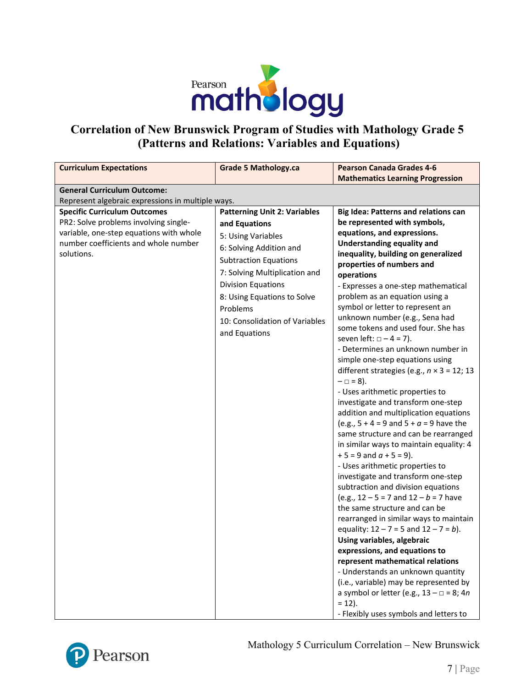

## **Correlation of New Brunswick Program of Studies with Mathology Grade 5 (Patterns and Relations: Variables and Equations)**

| <b>Curriculum Expectations</b>                    | <b>Grade 5 Mathology.ca</b>         | <b>Pearson Canada Grades 4-6</b>                                     |
|---------------------------------------------------|-------------------------------------|----------------------------------------------------------------------|
|                                                   |                                     | <b>Mathematics Learning Progression</b>                              |
| <b>General Curriculum Outcome:</b>                |                                     |                                                                      |
| Represent algebraic expressions in multiple ways. |                                     |                                                                      |
| <b>Specific Curriculum Outcomes</b>               | <b>Patterning Unit 2: Variables</b> | <b>Big Idea: Patterns and relations can</b>                          |
| PR2: Solve problems involving single-             | and Equations                       | be represented with symbols,                                         |
| variable, one-step equations with whole           | 5: Using Variables                  | equations, and expressions.                                          |
| number coefficients and whole number              | 6: Solving Addition and             | <b>Understanding equality and</b>                                    |
| solutions.                                        | <b>Subtraction Equations</b>        | inequality, building on generalized                                  |
|                                                   | 7: Solving Multiplication and       | properties of numbers and                                            |
|                                                   |                                     | operations                                                           |
|                                                   | <b>Division Equations</b>           | - Expresses a one-step mathematical                                  |
|                                                   | 8: Using Equations to Solve         | problem as an equation using a                                       |
|                                                   | Problems                            | symbol or letter to represent an                                     |
|                                                   | 10: Consolidation of Variables      | unknown number (e.g., Sena had<br>some tokens and used four. She has |
|                                                   | and Equations                       | seven left: $\Box - 4 = 7$ ).                                        |
|                                                   |                                     | - Determines an unknown number in                                    |
|                                                   |                                     | simple one-step equations using                                      |
|                                                   |                                     | different strategies (e.g., $n \times 3 = 12$ ; 13                   |
|                                                   |                                     | $-\Box = 8$ ).                                                       |
|                                                   |                                     | - Uses arithmetic properties to                                      |
|                                                   |                                     | investigate and transform one-step                                   |
|                                                   |                                     | addition and multiplication equations                                |
|                                                   |                                     | (e.g., $5 + 4 = 9$ and $5 + a = 9$ have the                          |
|                                                   |                                     | same structure and can be rearranged                                 |
|                                                   |                                     | in similar ways to maintain equality: 4                              |
|                                                   |                                     | $+5 = 9$ and $a + 5 = 9$ ).                                          |
|                                                   |                                     | - Uses arithmetic properties to                                      |
|                                                   |                                     | investigate and transform one-step                                   |
|                                                   |                                     | subtraction and division equations                                   |
|                                                   |                                     | (e.g., $12 - 5 = 7$ and $12 - b = 7$ have                            |
|                                                   |                                     | the same structure and can be                                        |
|                                                   |                                     | rearranged in similar ways to maintain                               |
|                                                   |                                     | equality: $12 - 7 = 5$ and $12 - 7 = b$ ).                           |
|                                                   |                                     | Using variables, algebraic                                           |
|                                                   |                                     | expressions, and equations to                                        |
|                                                   |                                     | represent mathematical relations                                     |
|                                                   |                                     | - Understands an unknown quantity                                    |
|                                                   |                                     | (i.e., variable) may be represented by                               |
|                                                   |                                     | a symbol or letter (e.g., $13 - \square = 8$ ; 4n                    |
|                                                   |                                     | $= 12$ ).                                                            |
|                                                   |                                     | - Flexibly uses symbols and letters to                               |

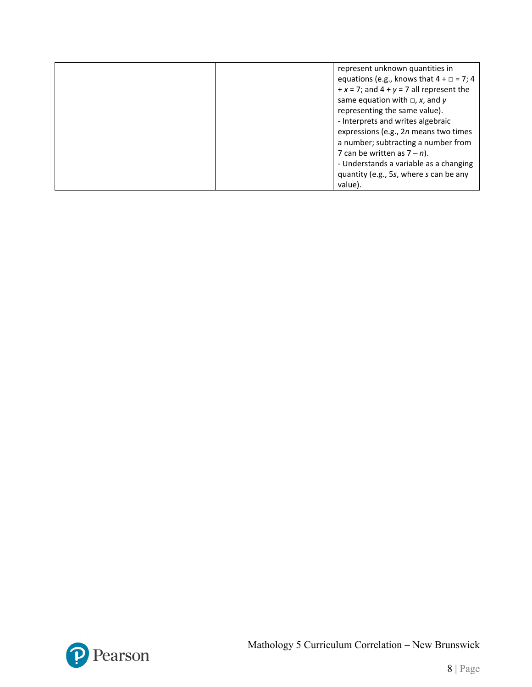| represent unknown quantities in                   |
|---------------------------------------------------|
|                                                   |
| equations (e.g., knows that $4 + \square = 7$ ; 4 |
| $+x = 7$ ; and $4 + y = 7$ all represent the      |
| same equation with $\Box$ , x, and y              |
| representing the same value).                     |
| - Interprets and writes algebraic                 |
| expressions (e.g., 2n means two times             |
| a number; subtracting a number from               |
| 7 can be written as $7 - n$ ).                    |
| - Understands a variable as a changing            |
| quantity (e.g., 5s, where s can be any            |
| value).                                           |

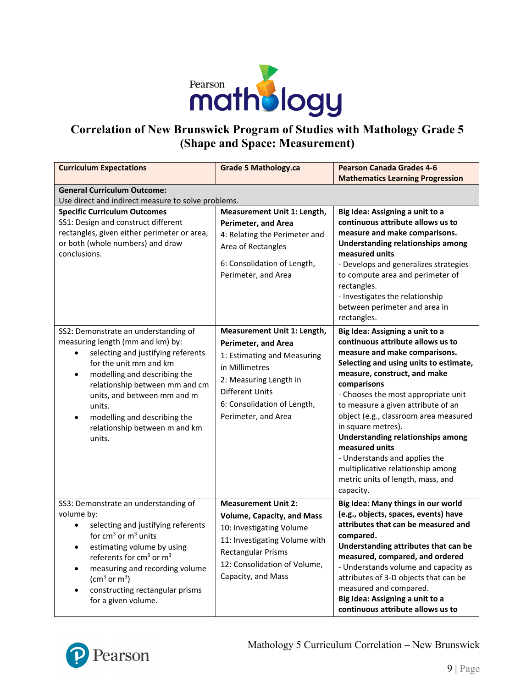

## **Correlation of New Brunswick Program of Studies with Mathology Grade 5 (Shape and Space: Measurement)**

| <b>Curriculum Expectations</b>                                                                                                                                                                                                                                                                                                                             | <b>Grade 5 Mathology.ca</b>                                                                                                                                                                                          | <b>Pearson Canada Grades 4-6</b><br><b>Mathematics Learning Progression</b>                                                                                                                                                                                                                                                                                                                                                                                                                                                      |
|------------------------------------------------------------------------------------------------------------------------------------------------------------------------------------------------------------------------------------------------------------------------------------------------------------------------------------------------------------|----------------------------------------------------------------------------------------------------------------------------------------------------------------------------------------------------------------------|----------------------------------------------------------------------------------------------------------------------------------------------------------------------------------------------------------------------------------------------------------------------------------------------------------------------------------------------------------------------------------------------------------------------------------------------------------------------------------------------------------------------------------|
| <b>General Curriculum Outcome:</b><br>Use direct and indirect measure to solve problems.                                                                                                                                                                                                                                                                   |                                                                                                                                                                                                                      |                                                                                                                                                                                                                                                                                                                                                                                                                                                                                                                                  |
| <b>Specific Curriculum Outcomes</b><br>SS1: Design and construct different<br>rectangles, given either perimeter or area,<br>or both (whole numbers) and draw<br>conclusions.                                                                                                                                                                              | Measurement Unit 1: Length,<br><b>Perimeter, and Area</b><br>4: Relating the Perimeter and<br>Area of Rectangles<br>6: Consolidation of Length,<br>Perimeter, and Area                                               | Big Idea: Assigning a unit to a<br>continuous attribute allows us to<br>measure and make comparisons.<br><b>Understanding relationships among</b><br>measured units<br>- Develops and generalizes strategies<br>to compute area and perimeter of<br>rectangles.<br>- Investigates the relationship<br>between perimeter and area in<br>rectangles.                                                                                                                                                                               |
| SS2: Demonstrate an understanding of<br>measuring length (mm and km) by:<br>selecting and justifying referents<br>for the unit mm and km<br>modelling and describing the<br>$\bullet$<br>relationship between mm and cm<br>units, and between mm and m<br>units.<br>modelling and describing the<br>$\bullet$<br>relationship between m and km<br>units.   | Measurement Unit 1: Length,<br><b>Perimeter, and Area</b><br>1: Estimating and Measuring<br>in Millimetres<br>2: Measuring Length in<br><b>Different Units</b><br>6: Consolidation of Length,<br>Perimeter, and Area | Big Idea: Assigning a unit to a<br>continuous attribute allows us to<br>measure and make comparisons.<br>Selecting and using units to estimate,<br>measure, construct, and make<br>comparisons<br>- Chooses the most appropriate unit<br>to measure a given attribute of an<br>object (e.g., classroom area measured<br>in square metres).<br><b>Understanding relationships among</b><br>measured units<br>- Understands and applies the<br>multiplicative relationship among<br>metric units of length, mass, and<br>capacity. |
| SS3: Demonstrate an understanding of<br>volume by:<br>selecting and justifying referents<br>for $cm3$ or $m3$ units<br>estimating volume by using<br>٠<br>referents for cm <sup>3</sup> or m <sup>3</sup><br>measuring and recording volume<br>$\bullet$<br>(cm <sup>3</sup> or m <sup>3</sup> )<br>constructing rectangular prisms<br>for a given volume. | <b>Measurement Unit 2:</b><br><b>Volume, Capacity, and Mass</b><br>10: Investigating Volume<br>11: Investigating Volume with<br><b>Rectangular Prisms</b><br>12: Consolidation of Volume,<br>Capacity, and Mass      | Big Idea: Many things in our world<br>(e.g., objects, spaces, events) have<br>attributes that can be measured and<br>compared.<br>Understanding attributes that can be<br>measured, compared, and ordered<br>- Understands volume and capacity as<br>attributes of 3-D objects that can be<br>measured and compared.<br>Big Idea: Assigning a unit to a<br>continuous attribute allows us to                                                                                                                                     |

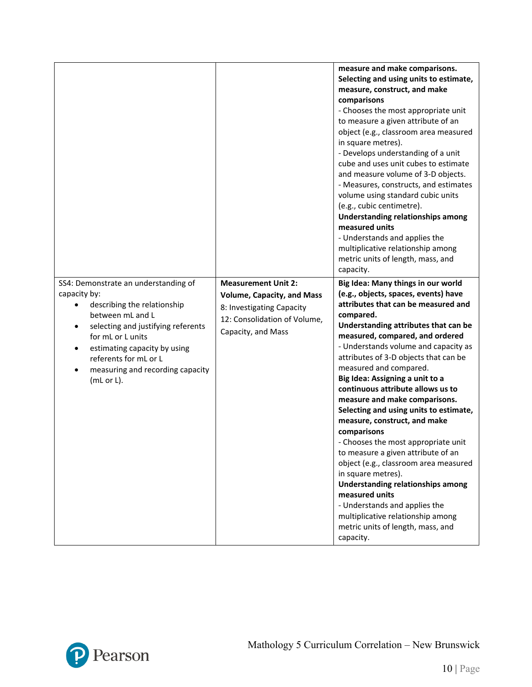|                                                                                                                                                                                                                                                                                                         |                                                                                                                                                    | measure and make comparisons.<br>Selecting and using units to estimate,<br>measure, construct, and make<br>comparisons<br>- Chooses the most appropriate unit<br>to measure a given attribute of an<br>object (e.g., classroom area measured<br>in square metres).<br>- Develops understanding of a unit<br>cube and uses unit cubes to estimate<br>and measure volume of 3-D objects.<br>- Measures, constructs, and estimates<br>volume using standard cubic units<br>(e.g., cubic centimetre).<br><b>Understanding relationships among</b><br>measured units<br>- Understands and applies the<br>multiplicative relationship among<br>metric units of length, mass, and<br>capacity.                                                                                                                                                                  |
|---------------------------------------------------------------------------------------------------------------------------------------------------------------------------------------------------------------------------------------------------------------------------------------------------------|----------------------------------------------------------------------------------------------------------------------------------------------------|----------------------------------------------------------------------------------------------------------------------------------------------------------------------------------------------------------------------------------------------------------------------------------------------------------------------------------------------------------------------------------------------------------------------------------------------------------------------------------------------------------------------------------------------------------------------------------------------------------------------------------------------------------------------------------------------------------------------------------------------------------------------------------------------------------------------------------------------------------|
| SS4: Demonstrate an understanding of<br>capacity by:<br>describing the relationship<br>between mL and L<br>selecting and justifying referents<br>$\bullet$<br>for mL or L units<br>estimating capacity by using<br>$\bullet$<br>referents for mL or L<br>measuring and recording capacity<br>(mL or L). | <b>Measurement Unit 2:</b><br><b>Volume, Capacity, and Mass</b><br>8: Investigating Capacity<br>12: Consolidation of Volume,<br>Capacity, and Mass | Big Idea: Many things in our world<br>(e.g., objects, spaces, events) have<br>attributes that can be measured and<br>compared.<br>Understanding attributes that can be<br>measured, compared, and ordered<br>- Understands volume and capacity as<br>attributes of 3-D objects that can be<br>measured and compared.<br>Big Idea: Assigning a unit to a<br>continuous attribute allows us to<br>measure and make comparisons.<br>Selecting and using units to estimate,<br>measure, construct, and make<br>comparisons<br>- Chooses the most appropriate unit<br>to measure a given attribute of an<br>object (e.g., classroom area measured<br>in square metres).<br><b>Understanding relationships among</b><br>measured units<br>- Understands and applies the<br>multiplicative relationship among<br>metric units of length, mass, and<br>capacity. |

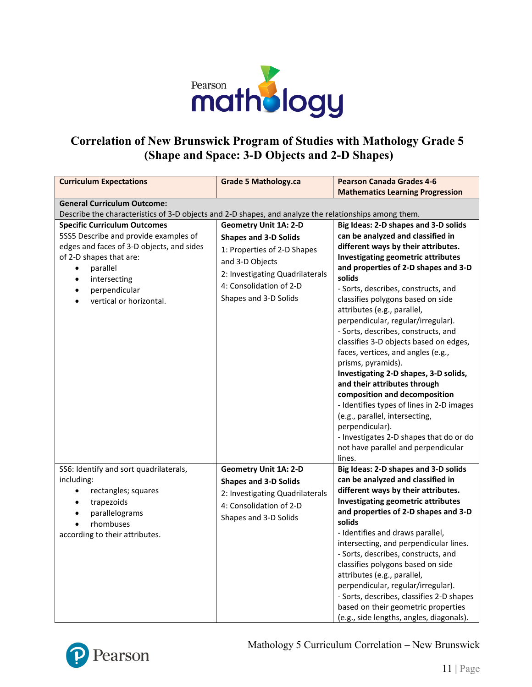

## **Correlation of New Brunswick Program of Studies with Mathology Grade 5 (Shape and Space: 3-D Objects and 2-D Shapes)**

| <b>Curriculum Expectations</b>                                                                                                                                                                                                                                                   | <b>Grade 5 Mathology.ca</b>                                                                                                                                                                           | <b>Pearson Canada Grades 4-6</b><br><b>Mathematics Learning Progression</b>                                                                                                                                                                                                                                                                                                                                                                                                                                                                                                                                                                                                                                                                                                                                    |
|----------------------------------------------------------------------------------------------------------------------------------------------------------------------------------------------------------------------------------------------------------------------------------|-------------------------------------------------------------------------------------------------------------------------------------------------------------------------------------------------------|----------------------------------------------------------------------------------------------------------------------------------------------------------------------------------------------------------------------------------------------------------------------------------------------------------------------------------------------------------------------------------------------------------------------------------------------------------------------------------------------------------------------------------------------------------------------------------------------------------------------------------------------------------------------------------------------------------------------------------------------------------------------------------------------------------------|
|                                                                                                                                                                                                                                                                                  |                                                                                                                                                                                                       |                                                                                                                                                                                                                                                                                                                                                                                                                                                                                                                                                                                                                                                                                                                                                                                                                |
| <b>General Curriculum Outcome:</b><br>Describe the characteristics of 3-D objects and 2-D shapes, and analyze the relationships among them.                                                                                                                                      |                                                                                                                                                                                                       |                                                                                                                                                                                                                                                                                                                                                                                                                                                                                                                                                                                                                                                                                                                                                                                                                |
| <b>Specific Curriculum Outcomes</b><br>5SS5 Describe and provide examples of<br>edges and faces of 3-D objects, and sides<br>of 2-D shapes that are:<br>parallel<br>$\bullet$<br>intersecting<br>$\bullet$<br>perpendicular<br>$\bullet$<br>vertical or horizontal.<br>$\bullet$ | <b>Geometry Unit 1A: 2-D</b><br><b>Shapes and 3-D Solids</b><br>1: Properties of 2-D Shapes<br>and 3-D Objects<br>2: Investigating Quadrilaterals<br>4: Consolidation of 2-D<br>Shapes and 3-D Solids | Big Ideas: 2-D shapes and 3-D solids<br>can be analyzed and classified in<br>different ways by their attributes.<br>Investigating geometric attributes<br>and properties of 2-D shapes and 3-D<br>solids<br>- Sorts, describes, constructs, and<br>classifies polygons based on side<br>attributes (e.g., parallel,<br>perpendicular, regular/irregular).<br>- Sorts, describes, constructs, and<br>classifies 3-D objects based on edges,<br>faces, vertices, and angles (e.g.,<br>prisms, pyramids).<br>Investigating 2-D shapes, 3-D solids,<br>and their attributes through<br>composition and decomposition<br>- Identifies types of lines in 2-D images<br>(e.g., parallel, intersecting,<br>perpendicular).<br>- Investigates 2-D shapes that do or do<br>not have parallel and perpendicular<br>lines. |
| SS6: Identify and sort quadrilaterals,<br>including:<br>rectangles; squares<br>$\bullet$<br>trapezoids<br>$\bullet$<br>parallelograms<br>$\bullet$<br>rhombuses<br>$\bullet$<br>according to their attributes.                                                                   | <b>Geometry Unit 1A: 2-D</b><br><b>Shapes and 3-D Solids</b><br>2: Investigating Quadrilaterals<br>4: Consolidation of 2-D<br>Shapes and 3-D Solids                                                   | Big Ideas: 2-D shapes and 3-D solids<br>can be analyzed and classified in<br>different ways by their attributes.<br>Investigating geometric attributes<br>and properties of 2-D shapes and 3-D<br>solids<br>- Identifies and draws parallel,<br>intersecting, and perpendicular lines.<br>- Sorts, describes, constructs, and<br>classifies polygons based on side<br>attributes (e.g., parallel,<br>perpendicular, regular/irregular).<br>- Sorts, describes, classifies 2-D shapes<br>based on their geometric properties<br>(e.g., side lengths, angles, diagonals).                                                                                                                                                                                                                                        |



Mathology 5 Curriculum Correlation – New Brunswick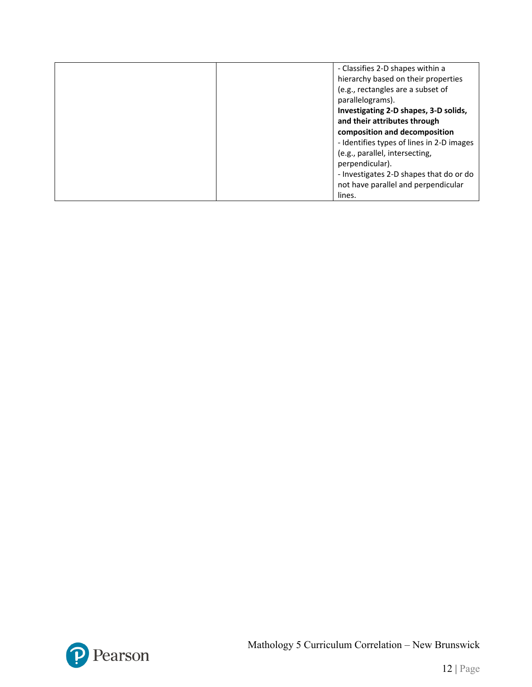| - Classifies 2-D shapes within a          |
|-------------------------------------------|
| hierarchy based on their properties       |
| (e.g., rectangles are a subset of         |
| parallelograms).                          |
| Investigating 2-D shapes, 3-D solids,     |
| and their attributes through              |
| composition and decomposition             |
| - Identifies types of lines in 2-D images |
| (e.g., parallel, intersecting,            |
| perpendicular).                           |
| - Investigates 2-D shapes that do or do   |
| not have parallel and perpendicular       |
| lines.                                    |

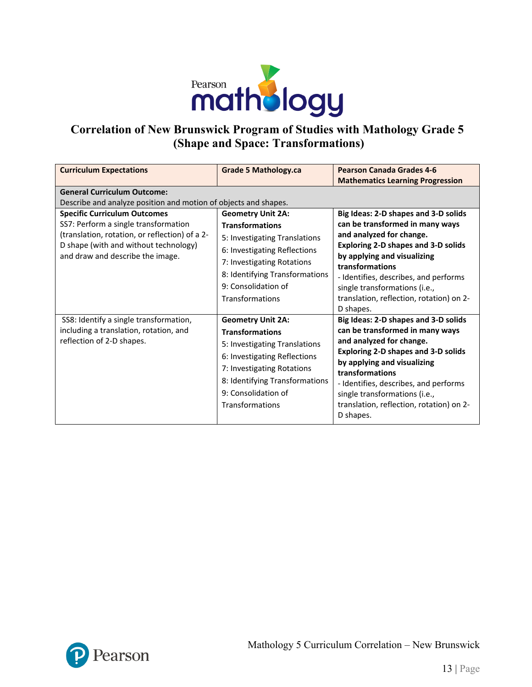

## **Correlation of New Brunswick Program of Studies with Mathology Grade 5 (Shape and Space: Transformations)**

| <b>Curriculum Expectations</b>                                                                                                                                                                             | <b>Grade 5 Mathology.ca</b>                                                                                                                                                                                                   | <b>Pearson Canada Grades 4-6</b><br><b>Mathematics Learning Progression</b>                                                                                                                                                                                                                                                            |  |  |
|------------------------------------------------------------------------------------------------------------------------------------------------------------------------------------------------------------|-------------------------------------------------------------------------------------------------------------------------------------------------------------------------------------------------------------------------------|----------------------------------------------------------------------------------------------------------------------------------------------------------------------------------------------------------------------------------------------------------------------------------------------------------------------------------------|--|--|
| <b>General Curriculum Outcome:</b><br>Describe and analyze position and motion of objects and shapes.                                                                                                      |                                                                                                                                                                                                                               |                                                                                                                                                                                                                                                                                                                                        |  |  |
| <b>Specific Curriculum Outcomes</b><br>SS7: Perform a single transformation<br>(translation, rotation, or reflection) of a 2-<br>D shape (with and without technology)<br>and draw and describe the image. | <b>Geometry Unit 2A:</b><br><b>Transformations</b><br>5: Investigating Translations<br>6: Investigating Reflections<br>7: Investigating Rotations<br>8: Identifying Transformations<br>9: Consolidation of<br>Transformations | Big Ideas: 2-D shapes and 3-D solids<br>can be transformed in many ways<br>and analyzed for change.<br><b>Exploring 2-D shapes and 3-D solids</b><br>by applying and visualizing<br>transformations<br>- Identifies, describes, and performs<br>single transformations (i.e.,<br>translation, reflection, rotation) on 2-<br>D shapes. |  |  |
| SS8: Identify a single transformation,<br>including a translation, rotation, and<br>reflection of 2-D shapes.                                                                                              | <b>Geometry Unit 2A:</b><br><b>Transformations</b><br>5: Investigating Translations<br>6: Investigating Reflections<br>7: Investigating Rotations<br>8: Identifying Transformations<br>9: Consolidation of<br>Transformations | Big Ideas: 2-D shapes and 3-D solids<br>can be transformed in many ways<br>and analyzed for change.<br><b>Exploring 2-D shapes and 3-D solids</b><br>by applying and visualizing<br>transformations<br>- Identifies, describes, and performs<br>single transformations (i.e.,<br>translation, reflection, rotation) on 2-<br>D shapes. |  |  |

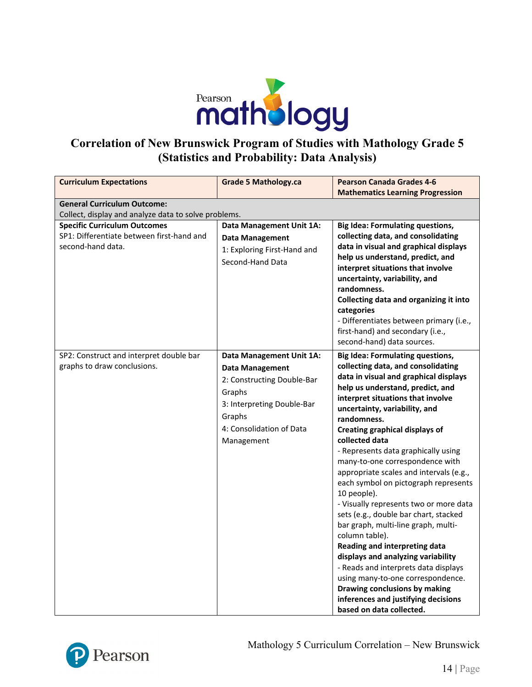

### **Correlation of New Brunswick Program of Studies with Mathology Grade 5 (Statistics and Probability: Data Analysis)**

| <b>Curriculum Expectations</b>                                                                        | <b>Grade 5 Mathology.ca</b>                                                                                                                                                  | <b>Pearson Canada Grades 4-6</b><br><b>Mathematics Learning Progression</b>                                                                                                                                                                                                                                                                                                                                                                                                                                                                                                                                                                                                                                                                                                                                                                                                                |  |  |
|-------------------------------------------------------------------------------------------------------|------------------------------------------------------------------------------------------------------------------------------------------------------------------------------|--------------------------------------------------------------------------------------------------------------------------------------------------------------------------------------------------------------------------------------------------------------------------------------------------------------------------------------------------------------------------------------------------------------------------------------------------------------------------------------------------------------------------------------------------------------------------------------------------------------------------------------------------------------------------------------------------------------------------------------------------------------------------------------------------------------------------------------------------------------------------------------------|--|--|
| <b>General Curriculum Outcome:</b>                                                                    |                                                                                                                                                                              |                                                                                                                                                                                                                                                                                                                                                                                                                                                                                                                                                                                                                                                                                                                                                                                                                                                                                            |  |  |
| Collect, display and analyze data to solve problems.                                                  |                                                                                                                                                                              |                                                                                                                                                                                                                                                                                                                                                                                                                                                                                                                                                                                                                                                                                                                                                                                                                                                                                            |  |  |
| <b>Specific Curriculum Outcomes</b><br>SP1: Differentiate between first-hand and<br>second-hand data. | Data Management Unit 1A:<br><b>Data Management</b><br>1: Exploring First-Hand and<br>Second-Hand Data                                                                        | <b>Big Idea: Formulating questions,</b><br>collecting data, and consolidating<br>data in visual and graphical displays<br>help us understand, predict, and<br>interpret situations that involve<br>uncertainty, variability, and<br>randomness.<br>Collecting data and organizing it into<br>categories<br>- Differentiates between primary (i.e.,<br>first-hand) and secondary (i.e.,<br>second-hand) data sources.                                                                                                                                                                                                                                                                                                                                                                                                                                                                       |  |  |
| SP2: Construct and interpret double bar<br>graphs to draw conclusions.                                | Data Management Unit 1A:<br><b>Data Management</b><br>2: Constructing Double-Bar<br>Graphs<br>3: Interpreting Double-Bar<br>Graphs<br>4: Consolidation of Data<br>Management | <b>Big Idea: Formulating questions,</b><br>collecting data, and consolidating<br>data in visual and graphical displays<br>help us understand, predict, and<br>interpret situations that involve<br>uncertainty, variability, and<br>randomness.<br><b>Creating graphical displays of</b><br>collected data<br>- Represents data graphically using<br>many-to-one correspondence with<br>appropriate scales and intervals (e.g.,<br>each symbol on pictograph represents<br>10 people).<br>- Visually represents two or more data<br>sets (e.g., double bar chart, stacked<br>bar graph, multi-line graph, multi-<br>column table).<br>Reading and interpreting data<br>displays and analyzing variability<br>- Reads and interprets data displays<br>using many-to-one correspondence.<br>Drawing conclusions by making<br>inferences and justifying decisions<br>based on data collected. |  |  |



Mathology 5 Curriculum Correlation – New Brunswick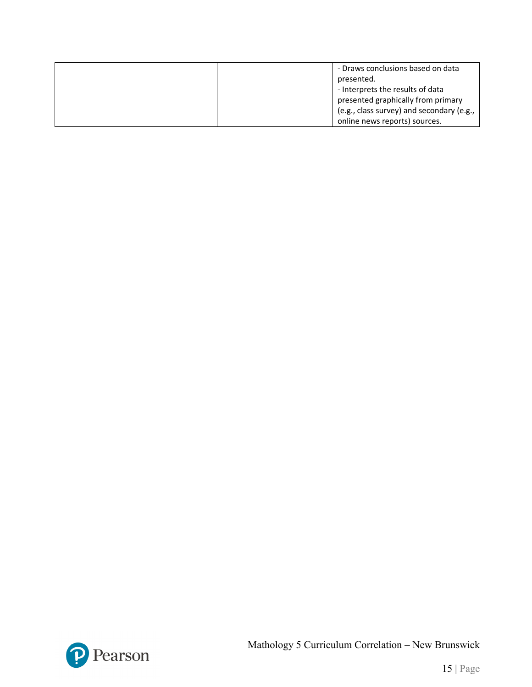| - Draws conclusions based on data         |
|-------------------------------------------|
| presented.                                |
| - Interprets the results of data          |
| presented graphically from primary        |
| (e.g., class survey) and secondary (e.g., |
| online news reports) sources.             |